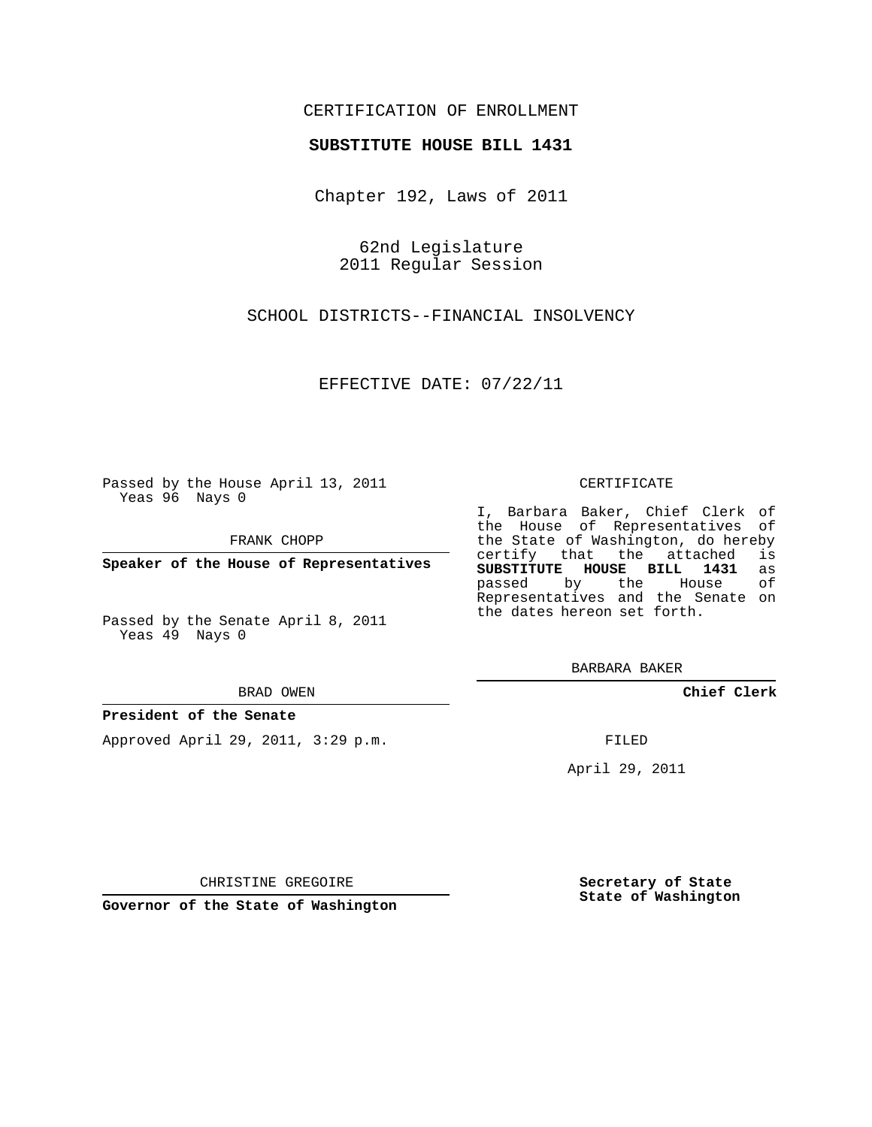# CERTIFICATION OF ENROLLMENT

## **SUBSTITUTE HOUSE BILL 1431**

Chapter 192, Laws of 2011

62nd Legislature 2011 Regular Session

SCHOOL DISTRICTS--FINANCIAL INSOLVENCY

EFFECTIVE DATE: 07/22/11

Passed by the House April 13, 2011 Yeas 96 Nays 0

FRANK CHOPP

**Speaker of the House of Representatives**

Passed by the Senate April 8, 2011 Yeas 49 Nays 0

#### BRAD OWEN

## **President of the Senate**

Approved April 29, 2011, 3:29 p.m.

#### CERTIFICATE

I, Barbara Baker, Chief Clerk of the House of Representatives of the State of Washington, do hereby<br>certify that the attached is certify that the attached **SUBSTITUTE HOUSE BILL 1431** as passed by the Representatives and the Senate on the dates hereon set forth.

BARBARA BAKER

**Chief Clerk**

FILED

April 29, 2011

**Secretary of State State of Washington**

CHRISTINE GREGOIRE

**Governor of the State of Washington**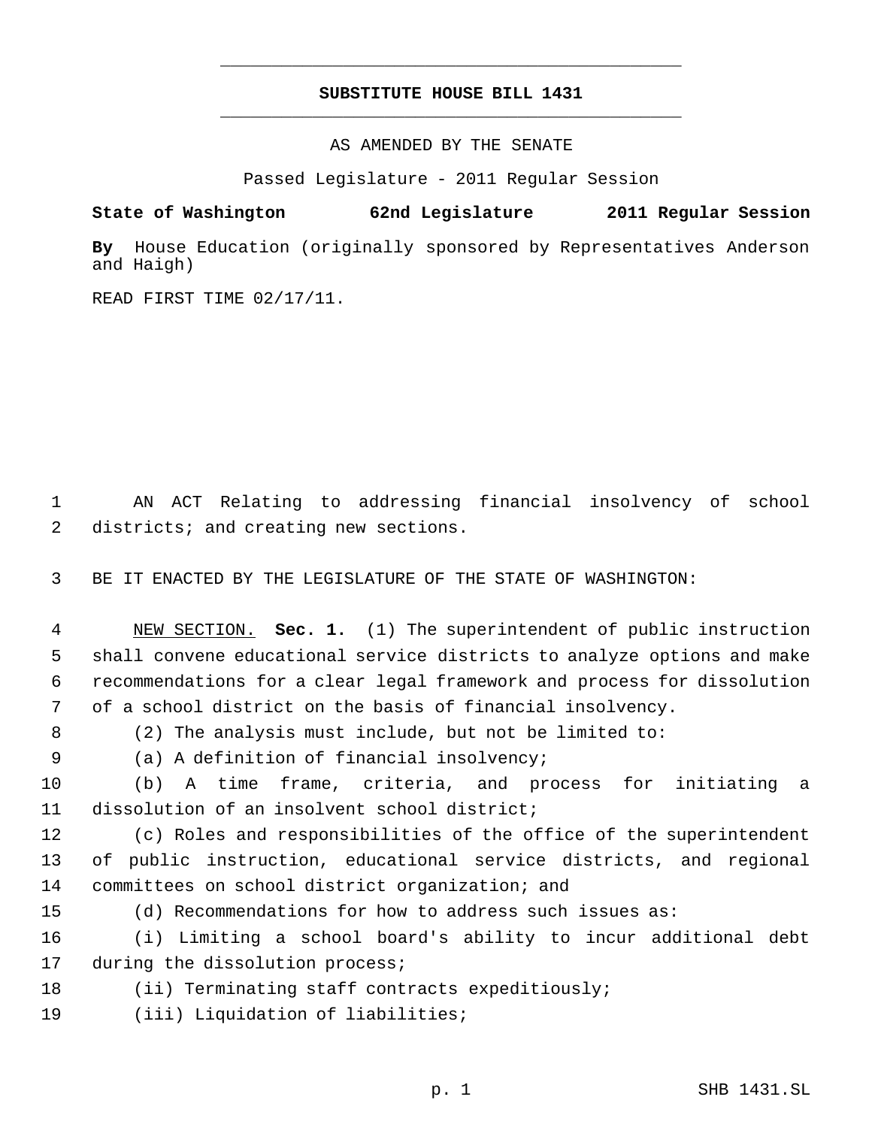# **SUBSTITUTE HOUSE BILL 1431** \_\_\_\_\_\_\_\_\_\_\_\_\_\_\_\_\_\_\_\_\_\_\_\_\_\_\_\_\_\_\_\_\_\_\_\_\_\_\_\_\_\_\_\_\_

\_\_\_\_\_\_\_\_\_\_\_\_\_\_\_\_\_\_\_\_\_\_\_\_\_\_\_\_\_\_\_\_\_\_\_\_\_\_\_\_\_\_\_\_\_

AS AMENDED BY THE SENATE

Passed Legislature - 2011 Regular Session

**State of Washington 62nd Legislature 2011 Regular Session**

**By** House Education (originally sponsored by Representatives Anderson and Haigh)

READ FIRST TIME 02/17/11.

 AN ACT Relating to addressing financial insolvency of school districts; and creating new sections.

BE IT ENACTED BY THE LEGISLATURE OF THE STATE OF WASHINGTON:

 NEW SECTION. **Sec. 1.** (1) The superintendent of public instruction shall convene educational service districts to analyze options and make recommendations for a clear legal framework and process for dissolution of a school district on the basis of financial insolvency.

(2) The analysis must include, but not be limited to:

(a) A definition of financial insolvency;

 (b) A time frame, criteria, and process for initiating a dissolution of an insolvent school district;

 (c) Roles and responsibilities of the office of the superintendent of public instruction, educational service districts, and regional committees on school district organization; and

(d) Recommendations for how to address such issues as:

 (i) Limiting a school board's ability to incur additional debt 17 during the dissolution process;

- (ii) Terminating staff contracts expeditiously;
- (iii) Liquidation of liabilities;